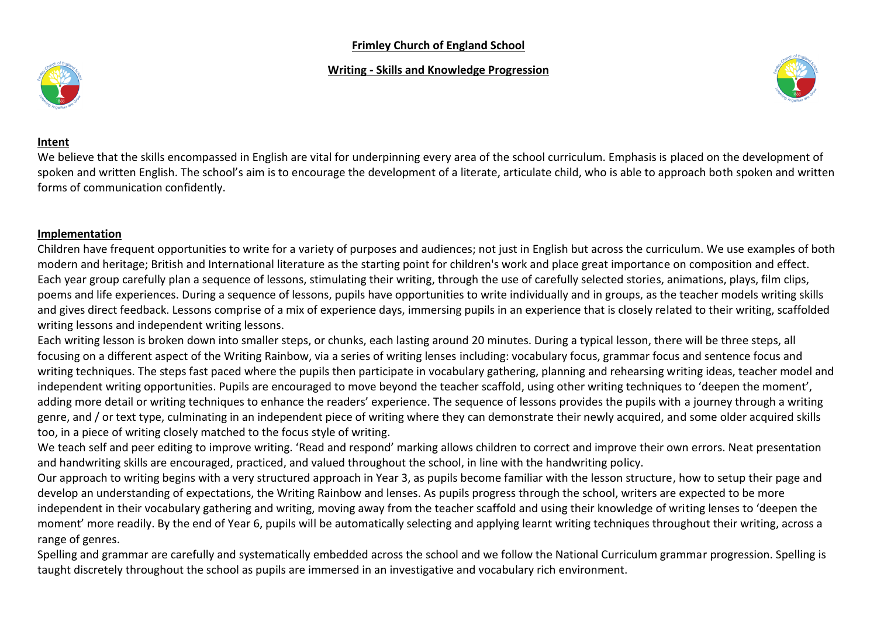## **Frimley Church of England School**

## **Writing - Skills and Knowledge Progression**





#### **Intent**

We believe that the skills encompassed in English are vital for underpinning every area of the school curriculum. Emphasis is placed on the development of spoken and written English. The school's aim is to encourage the development of a literate, articulate child, who is able to approach both spoken and written forms of communication confidently.

## **Implementation**

Children have frequent opportunities to write for a variety of purposes and audiences; not just in English but across the curriculum. We use examples of both modern and heritage; British and International literature as the starting point for children's work and place great importance on composition and effect. Each year group carefully plan a sequence of lessons, stimulating their writing, through the use of carefully selected stories, animations, plays, film clips, poems and life experiences. During a sequence of lessons, pupils have opportunities to write individually and in groups, as the teacher models writing skills and gives direct feedback. Lessons comprise of a mix of experience days, immersing pupils in an experience that is closely related to their writing, scaffolded writing lessons and independent writing lessons.

Each writing lesson is broken down into smaller steps, or chunks, each lasting around 20 minutes. During a typical lesson, there will be three steps, all focusing on a different aspect of the Writing Rainbow, via a series of writing lenses including: vocabulary focus, grammar focus and sentence focus and writing techniques. The steps fast paced where the pupils then participate in vocabulary gathering, planning and rehearsing writing ideas, teacher model and independent writing opportunities. Pupils are encouraged to move beyond the teacher scaffold, using other writing techniques to 'deepen the moment', adding more detail or writing techniques to enhance the readers' experience. The sequence of lessons provides the pupils with a journey through a writing genre, and / or text type, culminating in an independent piece of writing where they can demonstrate their newly acquired, and some older acquired skills too, in a piece of writing closely matched to the focus style of writing.

We teach self and peer editing to improve writing. 'Read and respond' marking allows children to correct and improve their own errors. Neat presentation and handwriting skills are encouraged, practiced, and valued throughout the school, in line with the handwriting policy.

Our approach to writing begins with a very structured approach in Year 3, as pupils become familiar with the lesson structure, how to setup their page and develop an understanding of expectations, the Writing Rainbow and lenses. As pupils progress through the school, writers are expected to be more independent in their vocabulary gathering and writing, moving away from the teacher scaffold and using their knowledge of writing lenses to 'deepen the moment' more readily. By the end of Year 6, pupils will be automatically selecting and applying learnt writing techniques throughout their writing, across a range of genres.

Spelling and grammar are carefully and systematically embedded across the school and we follow the National Curriculum grammar progression. Spelling is taught discretely throughout the school as pupils are immersed in an investigative and vocabulary rich environment.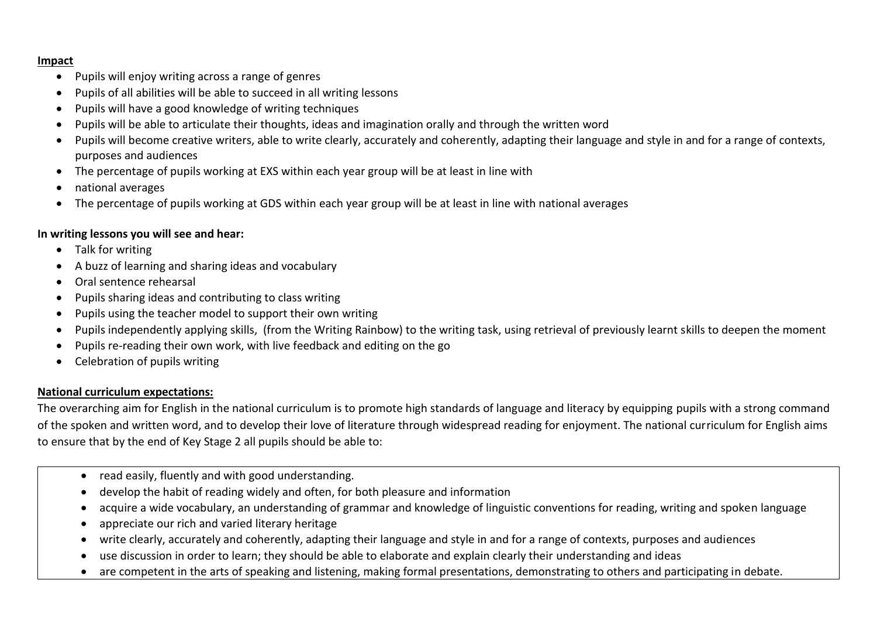#### **Impact**

- Pupils will enjoy writing across a range of genres
- Pupils of all abilities will be able to succeed in all writing lessons
- Pupils will have a good knowledge of writing techniques
- Pupils will be able to articulate their thoughts, ideas and imagination orally and through the written word
- Pupils will become creative writers, able to write clearly, accurately and coherently, adapting their language and style in and for a range of contexts, purposes and audiences
- The percentage of pupils working at EXS within each year group will be at least in line with
- national averages
- The percentage of pupils working at GDS within each year group will be at least in line with national averages

## **In writing lessons you will see and hear:**

- Talk for writing
- A buzz of learning and sharing ideas and vocabulary
- Oral sentence rehearsal
- Pupils sharing ideas and contributing to class writing
- Pupils using the teacher model to support their own writing
- Pupils independently applying skills, (from the Writing Rainbow) to the writing task, using retrieval of previously learnt skills to deepen the moment
- Pupils re-reading their own work, with live feedback and editing on the go
- Celebration of pupils writing

## **National curriculum expectations:**

The overarching aim for English in the national curriculum is to promote high standards of language and literacy by equipping pupils with a strong command of the spoken and written word, and to develop their love of literature through widespread reading for enjoyment. The national curriculum for English aims to ensure that by the end of Key Stage 2 all pupils should be able to:

- read easily, fluently and with good understanding.
- develop the habit of reading widely and often, for both pleasure and information
- acquire a wide vocabulary, an understanding of grammar and knowledge of linguistic conventions for reading, writing and spoken language
- appreciate our rich and varied literary heritage
- write clearly, accurately and coherently, adapting their language and style in and for a range of contexts, purposes and audiences
- use discussion in order to learn; they should be able to elaborate and explain clearly their understanding and ideas
- are competent in the arts of speaking and listening, making formal presentations, demonstrating to others and participating in debate.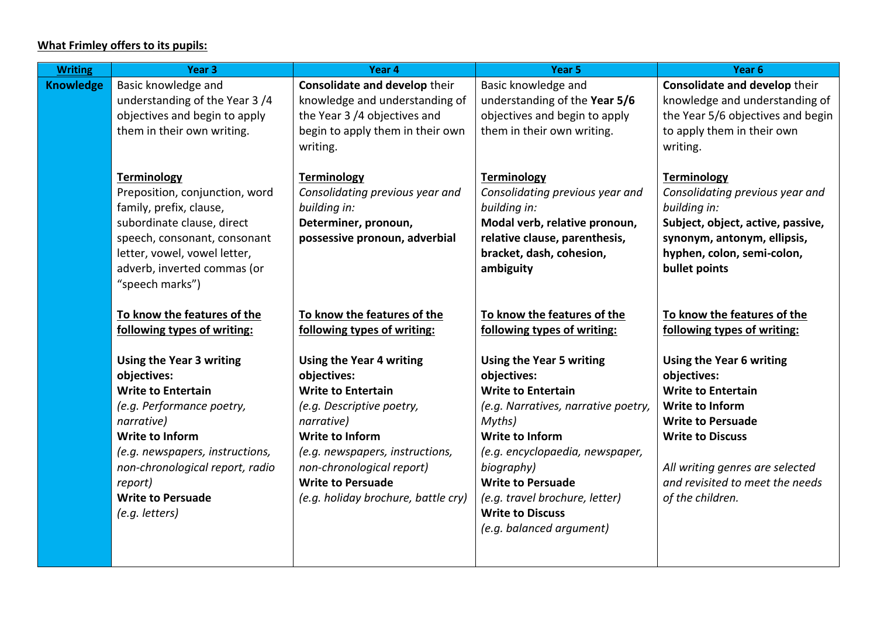# **What Frimley offers to its pupils:**

| <b>Writing</b>   | Year <sub>3</sub>                                                  | Year 4                                                | Year <sub>5</sub>                                         | Year <sub>6</sub>                                                  |
|------------------|--------------------------------------------------------------------|-------------------------------------------------------|-----------------------------------------------------------|--------------------------------------------------------------------|
| <b>Knowledge</b> | Basic knowledge and                                                | Consolidate and develop their                         | Basic knowledge and                                       | Consolidate and develop their                                      |
|                  | understanding of the Year 3/4                                      | knowledge and understanding of                        | understanding of the Year 5/6                             | knowledge and understanding of                                     |
|                  | objectives and begin to apply                                      | the Year 3 /4 objectives and                          | objectives and begin to apply                             | the Year 5/6 objectives and begin                                  |
|                  | them in their own writing.                                         | begin to apply them in their own                      | them in their own writing.                                | to apply them in their own                                         |
|                  |                                                                    | writing.                                              |                                                           | writing.                                                           |
|                  |                                                                    |                                                       | <b>Terminology</b>                                        |                                                                    |
|                  | <b>Terminology</b><br>Preposition, conjunction, word               | <b>Terminology</b><br>Consolidating previous year and | Consolidating previous year and                           | <b>Terminology</b><br>Consolidating previous year and              |
|                  | family, prefix, clause,                                            | building in:                                          | building in:                                              | building in:                                                       |
|                  | subordinate clause, direct                                         | Determiner, pronoun,                                  | Modal verb, relative pronoun,                             | Subject, object, active, passive,                                  |
|                  | speech, consonant, consonant                                       | possessive pronoun, adverbial                         | relative clause, parenthesis,                             | synonym, antonym, ellipsis,                                        |
|                  | letter, vowel, vowel letter,                                       |                                                       | bracket, dash, cohesion,                                  | hyphen, colon, semi-colon,                                         |
|                  | adverb, inverted commas (or                                        |                                                       | ambiguity                                                 | bullet points                                                      |
|                  | "speech marks")                                                    |                                                       |                                                           |                                                                    |
|                  |                                                                    |                                                       |                                                           |                                                                    |
|                  | To know the features of the                                        | To know the features of the                           | To know the features of the                               | To know the features of the                                        |
|                  | following types of writing:                                        | following types of writing:                           | following types of writing:                               | following types of writing:                                        |
|                  |                                                                    |                                                       |                                                           |                                                                    |
|                  | <b>Using the Year 3 writing</b>                                    | <b>Using the Year 4 writing</b>                       | <b>Using the Year 5 writing</b>                           | <b>Using the Year 6 writing</b>                                    |
|                  | objectives:                                                        | objectives:                                           | objectives:                                               | objectives:                                                        |
|                  | <b>Write to Entertain</b>                                          | <b>Write to Entertain</b>                             | <b>Write to Entertain</b>                                 | <b>Write to Entertain</b>                                          |
|                  | (e.g. Performance poetry,                                          | (e.g. Descriptive poetry,                             | (e.g. Narratives, narrative poetry,                       | <b>Write to Inform</b>                                             |
|                  | narrative)<br><b>Write to Inform</b>                               | narrative)<br><b>Write to Inform</b>                  | Myths)<br><b>Write to Inform</b>                          | <b>Write to Persuade</b><br><b>Write to Discuss</b>                |
|                  |                                                                    |                                                       |                                                           |                                                                    |
|                  | (e.g. newspapers, instructions,<br>non-chronological report, radio | (e.g. newspapers, instructions,                       | (e.g. encyclopaedia, newspaper,<br>biography)             |                                                                    |
|                  |                                                                    | non-chronological report)<br><b>Write to Persuade</b> | <b>Write to Persuade</b>                                  | All writing genres are selected<br>and revisited to meet the needs |
|                  | report)<br><b>Write to Persuade</b>                                |                                                       |                                                           |                                                                    |
|                  |                                                                    | (e.g. holiday brochure, battle cry)                   | (e.g. travel brochure, letter)<br><b>Write to Discuss</b> | of the children.                                                   |
|                  | (e.g. letters)                                                     |                                                       |                                                           |                                                                    |
|                  |                                                                    |                                                       | (e.g. balanced argument)                                  |                                                                    |
|                  |                                                                    |                                                       |                                                           |                                                                    |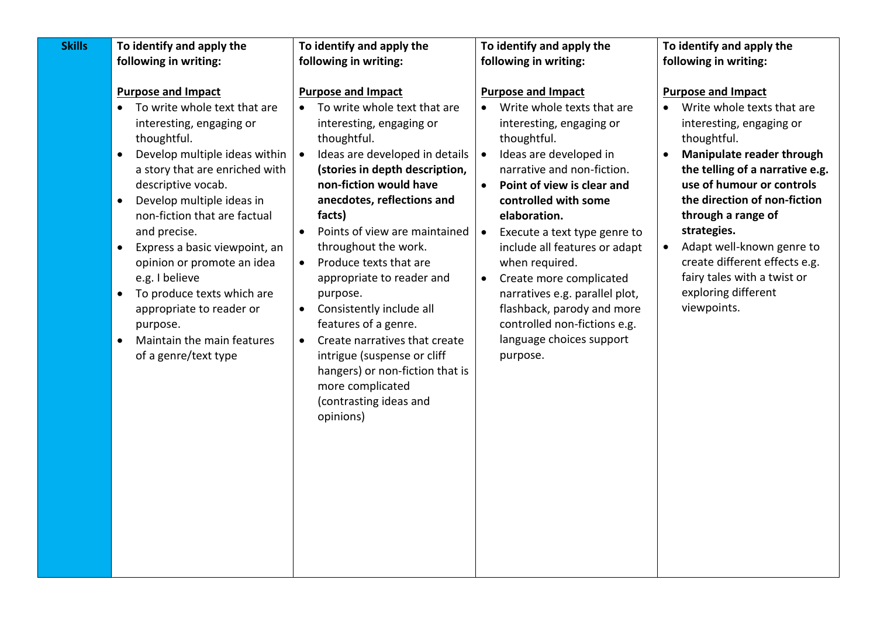| <b>Skills</b> | To identify and apply the                                                                                                                                                                                                                                                                                                                                                                                                                                                                                                                                             | To identify and apply the                                                                                                                                                                                                                                                                                                                                                                                                                                                                                                                                                                                                                                 | To identify and apply the                                                                                                                                                                                                                                                                                                                                                                                                                                                                                        | To identify and apply the                                                                                                                                                                                                                                                                                                                                                                                                                      |
|---------------|-----------------------------------------------------------------------------------------------------------------------------------------------------------------------------------------------------------------------------------------------------------------------------------------------------------------------------------------------------------------------------------------------------------------------------------------------------------------------------------------------------------------------------------------------------------------------|-----------------------------------------------------------------------------------------------------------------------------------------------------------------------------------------------------------------------------------------------------------------------------------------------------------------------------------------------------------------------------------------------------------------------------------------------------------------------------------------------------------------------------------------------------------------------------------------------------------------------------------------------------------|------------------------------------------------------------------------------------------------------------------------------------------------------------------------------------------------------------------------------------------------------------------------------------------------------------------------------------------------------------------------------------------------------------------------------------------------------------------------------------------------------------------|------------------------------------------------------------------------------------------------------------------------------------------------------------------------------------------------------------------------------------------------------------------------------------------------------------------------------------------------------------------------------------------------------------------------------------------------|
|               | following in writing:                                                                                                                                                                                                                                                                                                                                                                                                                                                                                                                                                 | following in writing:                                                                                                                                                                                                                                                                                                                                                                                                                                                                                                                                                                                                                                     | following in writing:                                                                                                                                                                                                                                                                                                                                                                                                                                                                                            | following in writing:                                                                                                                                                                                                                                                                                                                                                                                                                          |
|               | <b>Purpose and Impact</b><br>To write whole text that are<br>$\bullet$<br>interesting, engaging or<br>thoughtful.<br>Develop multiple ideas within<br>$\bullet$<br>a story that are enriched with<br>descriptive vocab.<br>Develop multiple ideas in<br>$\bullet$<br>non-fiction that are factual<br>and precise.<br>Express a basic viewpoint, an<br>$\bullet$<br>opinion or promote an idea<br>e.g. I believe<br>To produce texts which are<br>$\bullet$<br>appropriate to reader or<br>purpose.<br>Maintain the main features<br>$\bullet$<br>of a genre/text type | <b>Purpose and Impact</b><br>To write whole text that are<br>$\bullet$<br>interesting, engaging or<br>thoughtful.<br>Ideas are developed in details<br>(stories in depth description,<br>non-fiction would have<br>anecdotes, reflections and<br>facts)<br>Points of view are maintained<br>$\bullet$<br>throughout the work.<br>Produce texts that are<br>$\bullet$<br>appropriate to reader and<br>purpose.<br>Consistently include all<br>$\bullet$<br>features of a genre.<br>Create narratives that create<br>$\bullet$<br>intrigue (suspense or cliff<br>hangers) or non-fiction that is<br>more complicated<br>(contrasting ideas and<br>opinions) | <b>Purpose and Impact</b><br>Write whole texts that are<br>$\bullet$<br>interesting, engaging or<br>thoughtful.<br>Ideas are developed in<br>narrative and non-fiction.<br>Point of view is clear and<br>controlled with some<br>elaboration.<br>Execute a text type genre to<br>$\bullet$<br>include all features or adapt<br>when required.<br>Create more complicated<br>narratives e.g. parallel plot,<br>flashback, parody and more<br>controlled non-fictions e.g.<br>language choices support<br>purpose. | <b>Purpose and Impact</b><br>Write whole texts that are<br>$\bullet$<br>interesting, engaging or<br>thoughtful.<br>Manipulate reader through<br>$\bullet$<br>the telling of a narrative e.g.<br>use of humour or controls<br>the direction of non-fiction<br>through a range of<br>strategies.<br>Adapt well-known genre to<br>$\bullet$<br>create different effects e.g.<br>fairy tales with a twist or<br>exploring different<br>viewpoints. |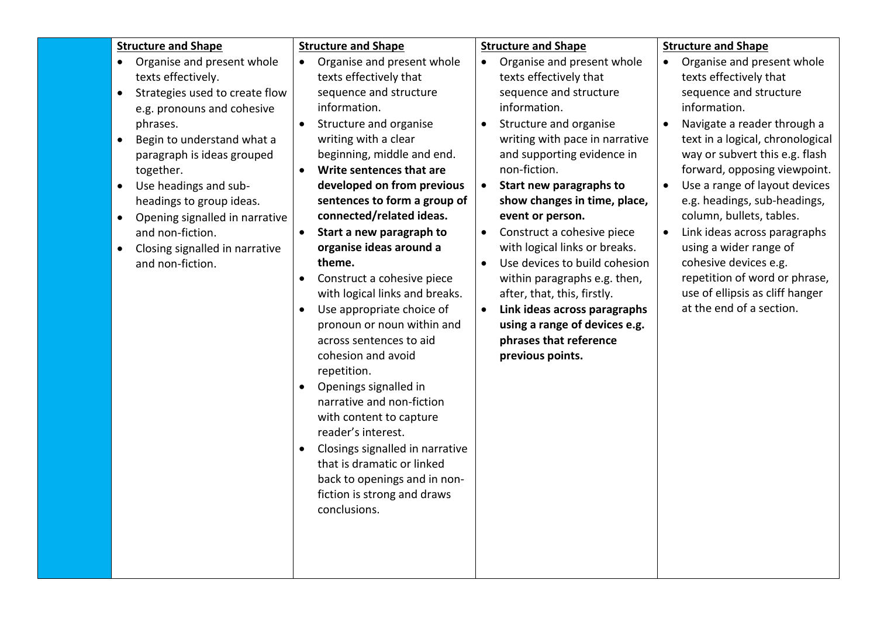|                                                               | <b>Structure and Shape</b>                                                                                                                                                                                                                                                                                                                                             | <b>Structure and Shape</b>                                                                                                                                                                                                                                                                                                                                                                                                                                                                                                                                                                                                                                                                                                                                                                                                                                                                                         |                                                               | <b>Structure and Shape</b>                                                                                                                                                                                                                                                                                                                                                                                                                                                                                                                                            |           | <b>Structure and Shape</b>                                                                                                                                                                                                                                                                                                                                                                                                                                                                                          |
|---------------------------------------------------------------|------------------------------------------------------------------------------------------------------------------------------------------------------------------------------------------------------------------------------------------------------------------------------------------------------------------------------------------------------------------------|--------------------------------------------------------------------------------------------------------------------------------------------------------------------------------------------------------------------------------------------------------------------------------------------------------------------------------------------------------------------------------------------------------------------------------------------------------------------------------------------------------------------------------------------------------------------------------------------------------------------------------------------------------------------------------------------------------------------------------------------------------------------------------------------------------------------------------------------------------------------------------------------------------------------|---------------------------------------------------------------|-----------------------------------------------------------------------------------------------------------------------------------------------------------------------------------------------------------------------------------------------------------------------------------------------------------------------------------------------------------------------------------------------------------------------------------------------------------------------------------------------------------------------------------------------------------------------|-----------|---------------------------------------------------------------------------------------------------------------------------------------------------------------------------------------------------------------------------------------------------------------------------------------------------------------------------------------------------------------------------------------------------------------------------------------------------------------------------------------------------------------------|
| $\bullet$<br>$\bullet$<br>$\bullet$<br>$\bullet$<br>$\bullet$ | Organise and present whole<br>texts effectively.<br>Strategies used to create flow<br>e.g. pronouns and cohesive<br>phrases.<br>Begin to understand what a<br>paragraph is ideas grouped<br>together.<br>Use headings and sub-<br>headings to group ideas.<br>Opening signalled in narrative<br>and non-fiction.<br>Closing signalled in narrative<br>and non-fiction. | Organise and present whole<br>$\bullet$<br>texts effectively that<br>sequence and structure<br>information.<br>Structure and organise<br>writing with a clear<br>beginning, middle and end.<br>Write sentences that are<br>$\bullet$<br>developed on from previous<br>sentences to form a group of<br>connected/related ideas.<br>Start a new paragraph to<br>$\bullet$<br>organise ideas around a<br>theme.<br>Construct a cohesive piece<br>$\bullet$<br>with logical links and breaks.<br>Use appropriate choice of<br>$\bullet$<br>pronoun or noun within and<br>across sentences to aid<br>cohesion and avoid<br>repetition.<br>Openings signalled in<br>$\bullet$<br>narrative and non-fiction<br>with content to capture<br>reader's interest.<br>Closings signalled in narrative<br>$\bullet$<br>that is dramatic or linked<br>back to openings and in non-<br>fiction is strong and draws<br>conclusions. | $\bullet$<br>$\bullet$<br>$\bullet$<br>$\bullet$<br>$\bullet$ | Organise and present whole<br>texts effectively that<br>sequence and structure<br>information.<br>Structure and organise<br>writing with pace in narrative<br>and supporting evidence in<br>non-fiction.<br>Start new paragraphs to<br>show changes in time, place,<br>event or person.<br>Construct a cohesive piece<br>with logical links or breaks.<br>Use devices to build cohesion<br>within paragraphs e.g. then,<br>after, that, this, firstly.<br>Link ideas across paragraphs<br>using a range of devices e.g.<br>phrases that reference<br>previous points. | $\bullet$ | Organise and present whole<br>texts effectively that<br>sequence and structure<br>information.<br>Navigate a reader through a<br>text in a logical, chronological<br>way or subvert this e.g. flash<br>forward, opposing viewpoint.<br>Use a range of layout devices<br>e.g. headings, sub-headings,<br>column, bullets, tables.<br>Link ideas across paragraphs<br>using a wider range of<br>cohesive devices e.g.<br>repetition of word or phrase,<br>use of ellipsis as cliff hanger<br>at the end of a section. |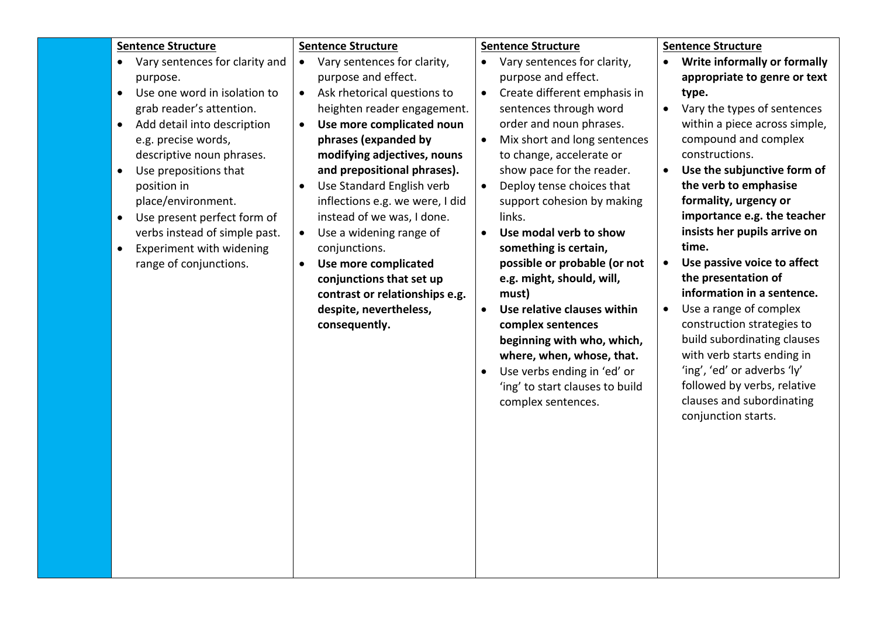| <b>Sentence Structure</b><br><b>Sentence Structure</b><br><b>Sentence Structure</b>                                   | <b>Sentence Structure</b>                |
|-----------------------------------------------------------------------------------------------------------------------|------------------------------------------|
| Vary sentences for clarity and<br>Vary sentences for clarity,<br>Vary sentences for clarity,                          | • Write informally or formally           |
| purpose and effect.<br>purpose and effect.<br>purpose.                                                                | appropriate to genre or text             |
| Use one word in isolation to<br>Ask rhetorical questions to<br>Create different emphasis in<br>$\bullet$<br>$\bullet$ | type.                                    |
| sentences through word<br>grab reader's attention.<br>heighten reader engagement.                                     | Vary the types of sentences<br>$\bullet$ |
| order and noun phrases.<br>Add detail into description<br>Use more complicated noun<br>$\bullet$<br>$\bullet$         | within a piece across simple,            |
| Mix short and long sentences<br>phrases (expanded by<br>e.g. precise words,<br>$\bullet$                              | compound and complex                     |
| descriptive noun phrases.<br>modifying adjectives, nouns<br>to change, accelerate or                                  | constructions.                           |
| Use prepositions that<br>and prepositional phrases).<br>show pace for the reader.<br>$\bullet$                        | Use the subjunctive form of<br>$\bullet$ |
| Use Standard English verb<br>Deploy tense choices that<br>position in<br>$\bullet$<br>$\bullet$                       | the verb to emphasise                    |
| place/environment.<br>inflections e.g. we were, I did<br>support cohesion by making                                   | formality, urgency or                    |
| instead of we was, I done.<br>links.<br>Use present perfect form of<br>$\bullet$                                      | importance e.g. the teacher              |
| verbs instead of simple past.<br>Use a widening range of<br>Use modal verb to show<br>$\bullet$<br>$\bullet$          | insists her pupils arrive on             |
| conjunctions.<br>something is certain,<br>Experiment with widening<br>$\bullet$                                       | time.                                    |
| possible or probable (or not<br>range of conjunctions.<br>Use more complicated<br>$\bullet$                           | Use passive voice to affect<br>$\bullet$ |
| conjunctions that set up<br>e.g. might, should, will,                                                                 | the presentation of                      |
| contrast or relationships e.g.<br>must)                                                                               | information in a sentence.               |
| despite, nevertheless,<br>Use relative clauses within<br>$\bullet$                                                    | Use a range of complex<br>$\bullet$      |
| consequently.<br>complex sentences                                                                                    | construction strategies to               |
| beginning with who, which,                                                                                            | build subordinating clauses              |
| where, when, whose, that.                                                                                             | with verb starts ending in               |
| Use verbs ending in 'ed' or                                                                                           | 'ing', 'ed' or adverbs 'ly'              |
| 'ing' to start clauses to build                                                                                       | followed by verbs, relative              |
| complex sentences.                                                                                                    | clauses and subordinating                |
|                                                                                                                       | conjunction starts.                      |
|                                                                                                                       |                                          |
|                                                                                                                       |                                          |
|                                                                                                                       |                                          |
|                                                                                                                       |                                          |
|                                                                                                                       |                                          |
|                                                                                                                       |                                          |
|                                                                                                                       |                                          |
|                                                                                                                       |                                          |
|                                                                                                                       |                                          |
|                                                                                                                       |                                          |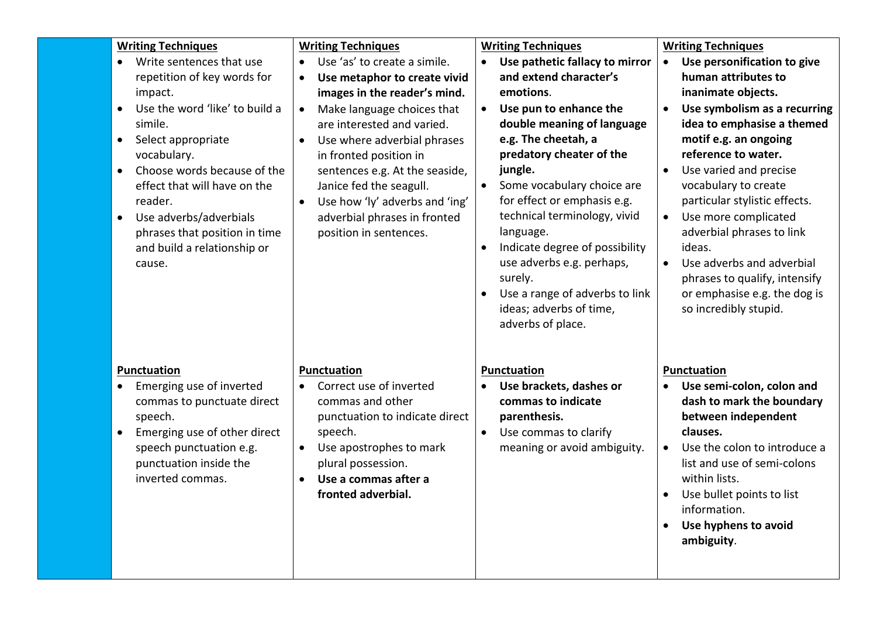| <b>Writing Techniques</b><br>Write sentences that use<br>$\bullet$<br>repetition of key words for<br>impact.<br>Use the word 'like' to build a<br>$\bullet$<br>simile.<br>Select appropriate<br>$\bullet$<br>vocabulary.<br>Choose words because of the<br>$\bullet$<br>effect that will have on the<br>reader.<br>Use adverbs/adverbials<br>$\bullet$<br>phrases that position in time<br>and build a relationship or<br>cause. | <b>Writing Techniques</b><br>Use 'as' to create a simile.<br>$\bullet$<br>Use metaphor to create vivid<br>$\bullet$<br>images in the reader's mind.<br>Make language choices that<br>$\bullet$<br>are interested and varied.<br>Use where adverbial phrases<br>$\bullet$<br>in fronted position in<br>sentences e.g. At the seaside,<br>Janice fed the seagull.<br>Use how 'ly' adverbs and 'ing'<br>adverbial phrases in fronted<br>position in sentences. | <b>Writing Techniques</b><br>Use pathetic fallacy to mirror<br>and extend character's<br>emotions.<br>Use pun to enhance the<br>$\bullet$<br>double meaning of language<br>e.g. The cheetah, a<br>predatory cheater of the<br>jungle.<br>Some vocabulary choice are<br>for effect or emphasis e.g.<br>technical terminology, vivid<br>language.<br>Indicate degree of possibility<br>$\bullet$<br>use adverbs e.g. perhaps,<br>surely.<br>Use a range of adverbs to link<br>ideas; adverbs of time,<br>adverbs of place. | <b>Writing Techniques</b><br>Use personification to give<br>$\bullet$<br>human attributes to<br>inanimate objects.<br>Use symbolism as a recurring<br>$\bullet$<br>idea to emphasise a themed<br>motif e.g. an ongoing<br>reference to water.<br>Use varied and precise<br>vocabulary to create<br>particular stylistic effects.<br>Use more complicated<br>$\bullet$<br>adverbial phrases to link<br>ideas.<br>Use adverbs and adverbial<br>$\bullet$<br>phrases to qualify, intensify<br>or emphasise e.g. the dog is<br>so incredibly stupid. |
|----------------------------------------------------------------------------------------------------------------------------------------------------------------------------------------------------------------------------------------------------------------------------------------------------------------------------------------------------------------------------------------------------------------------------------|-------------------------------------------------------------------------------------------------------------------------------------------------------------------------------------------------------------------------------------------------------------------------------------------------------------------------------------------------------------------------------------------------------------------------------------------------------------|--------------------------------------------------------------------------------------------------------------------------------------------------------------------------------------------------------------------------------------------------------------------------------------------------------------------------------------------------------------------------------------------------------------------------------------------------------------------------------------------------------------------------|--------------------------------------------------------------------------------------------------------------------------------------------------------------------------------------------------------------------------------------------------------------------------------------------------------------------------------------------------------------------------------------------------------------------------------------------------------------------------------------------------------------------------------------------------|
| Punctuation<br>Emerging use of inverted<br>commas to punctuate direct<br>speech.<br>Emerging use of other direct<br>$\bullet$<br>speech punctuation e.g.<br>punctuation inside the<br>inverted commas.                                                                                                                                                                                                                           | <b>Punctuation</b><br>Correct use of inverted<br>commas and other<br>punctuation to indicate direct<br>speech.<br>$\bullet$<br>Use apostrophes to mark<br>plural possession.<br>Use a commas after a<br>$\bullet$<br>fronted adverbial.                                                                                                                                                                                                                     | Punctuation<br>Use brackets, dashes or<br>commas to indicate<br>parenthesis.<br>Use commas to clarify<br>meaning or avoid ambiguity.                                                                                                                                                                                                                                                                                                                                                                                     | Punctuation<br>Use semi-colon, colon and<br>$\bullet$<br>dash to mark the boundary<br>between independent<br>clauses.<br>Use the colon to introduce a<br>$\bullet$<br>list and use of semi-colons<br>within lists.<br>Use bullet points to list<br>information.<br>Use hyphens to avoid<br>$\bullet$<br>ambiguity.                                                                                                                                                                                                                               |